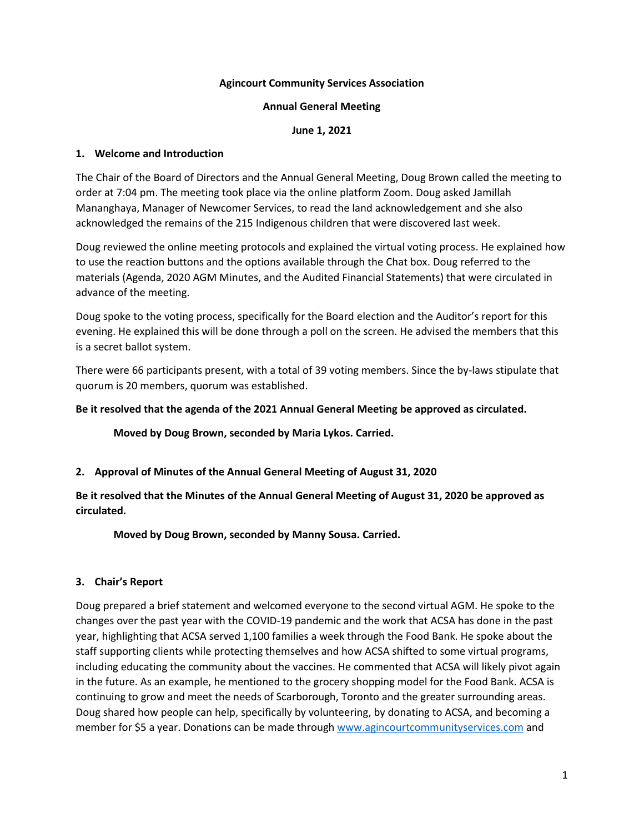### **Agincourt Community Services Association**

#### **Annual General Meeting**

#### **June 1, 2021**

#### **1. Welcome and Introduction**

The Chair of the Board of Directors and the Annual General Meeting, Doug Brown called the meeting to order at 7:04 pm. The meeting took place via the online platform Zoom. Doug asked Jamillah Mananghaya, Manager of Newcomer Services, to read the land acknowledgement and she also acknowledged the remains of the 215 Indigenous children that were discovered last week.

Doug reviewed the online meeting protocols and explained the virtual voting process. He explained how to use the reaction buttons and the options available through the Chat box. Doug referred to the materials (Agenda, 2020 AGM Minutes, and the Audited Financial Statements) that were circulated in advance of the meeting.

Doug spoke to the voting process, specifically for the Board election and the Auditor's report for this evening. He explained this will be done through a poll on the screen. He advised the members that this is a secret ballot system.

There were 66 participants present, with a total of 39 voting members. Since the by-laws stipulate that quorum is 20 members, quorum was established.

#### **Be it resolved that the agenda of the 2021 Annual General Meeting be approved as circulated.**

**Moved by Doug Brown, seconded by Maria Lykos. Carried.** 

### **2. Approval of Minutes of the Annual General Meeting of August 31, 2020**

**Be it resolved that the Minutes of the Annual General Meeting of August 31, 2020 be approved as circulated.** 

**Moved by Doug Brown, seconded by Manny Sousa. Carried.** 

### **3. Chair's Report**

Doug prepared a brief statement and welcomed everyone to the second virtual AGM. He spoke to the changes over the past year with the COVID-19 pandemic and the work that ACSA has done in the past year, highlighting that ACSA served 1,100 families a week through the Food Bank. He spoke about the staff supporting clients while protecting themselves and how ACSA shifted to some virtual programs, including educating the community about the vaccines. He commented that ACSA will likely pivot again in the future. As an example, he mentioned to the grocery shopping model for the Food Bank. ACSA is continuing to grow and meet the needs of Scarborough, Toronto and the greater surrounding areas. Doug shared how people can help, specifically by volunteering, by donating to ACSA, and becoming a member for \$5 a year. Donations can be made throug[h www.agincourtcommunityservices.com](http://www.agincourtcommunityservices.com/) and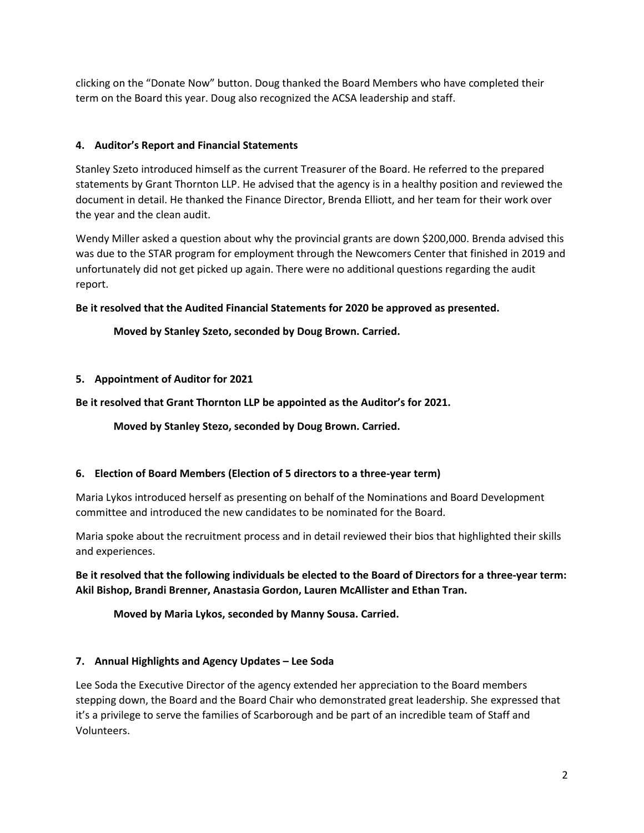clicking on the "Donate Now" button. Doug thanked the Board Members who have completed their term on the Board this year. Doug also recognized the ACSA leadership and staff.

## **4. Auditor's Report and Financial Statements**

Stanley Szeto introduced himself as the current Treasurer of the Board. He referred to the prepared statements by Grant Thornton LLP. He advised that the agency is in a healthy position and reviewed the document in detail. He thanked the Finance Director, Brenda Elliott, and her team for their work over the year and the clean audit.

Wendy Miller asked a question about why the provincial grants are down \$200,000. Brenda advised this was due to the STAR program for employment through the Newcomers Center that finished in 2019 and unfortunately did not get picked up again. There were no additional questions regarding the audit report.

### **Be it resolved that the Audited Financial Statements for 2020 be approved as presented.**

# **Moved by Stanley Szeto, seconded by Doug Brown. Carried.**

### **5. Appointment of Auditor for 2021**

### **Be it resolved that Grant Thornton LLP be appointed as the Auditor's for 2021.**

**Moved by Stanley Stezo, seconded by Doug Brown. Carried.** 

### **6. Election of Board Members (Election of 5 directors to a three-year term)**

Maria Lykos introduced herself as presenting on behalf of the Nominations and Board Development committee and introduced the new candidates to be nominated for the Board.

Maria spoke about the recruitment process and in detail reviewed their bios that highlighted their skills and experiences.

**Be it resolved that the following individuals be elected to the Board of Directors for a three-year term: Akil Bishop, Brandi Brenner, Anastasia Gordon, Lauren McAllister and Ethan Tran.** 

**Moved by Maria Lykos, seconded by Manny Sousa. Carried.** 

### **7. Annual Highlights and Agency Updates – Lee Soda**

Lee Soda the Executive Director of the agency extended her appreciation to the Board members stepping down, the Board and the Board Chair who demonstrated great leadership. She expressed that it's a privilege to serve the families of Scarborough and be part of an incredible team of Staff and Volunteers.